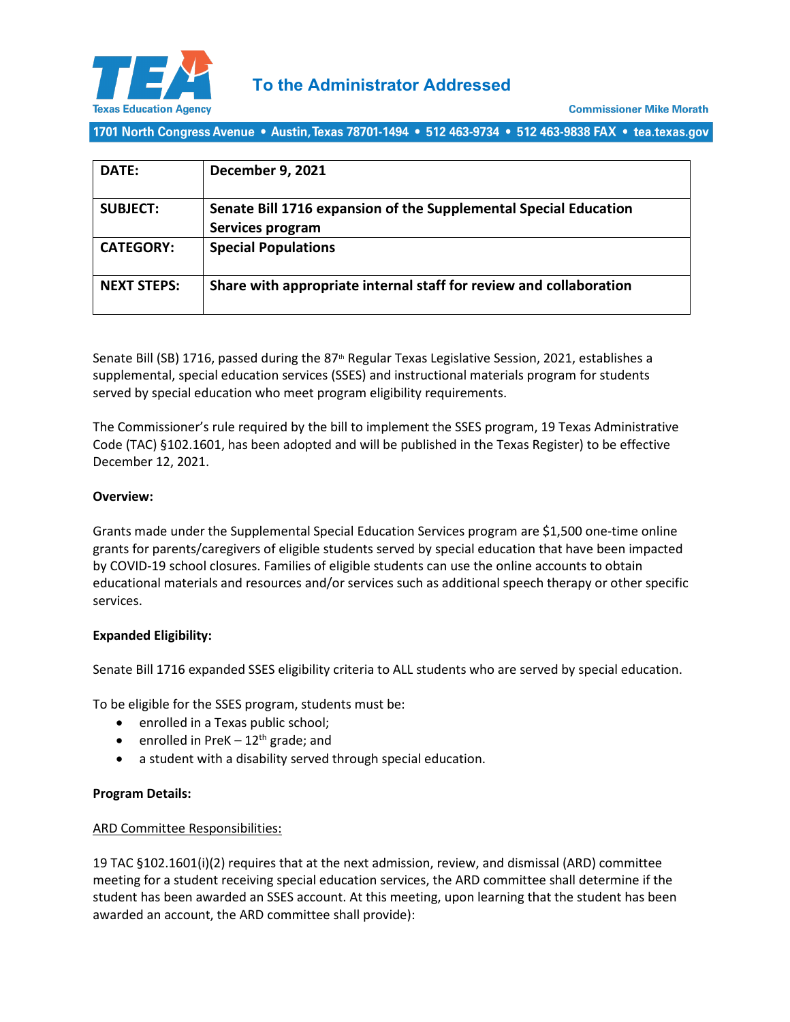

1701 North Congress Avenue • Austin, Texas 78701-1494 • 512 463-9734 • 512 463-9838 FAX • tea.texas.gov

| DATE:              | <b>December 9, 2021</b>                                                              |
|--------------------|--------------------------------------------------------------------------------------|
| <b>SUBJECT:</b>    | Senate Bill 1716 expansion of the Supplemental Special Education<br>Services program |
| <b>CATEGORY:</b>   | <b>Special Populations</b>                                                           |
| <b>NEXT STEPS:</b> | Share with appropriate internal staff for review and collaboration                   |

Senate Bill (SB) 1716, passed during the 87<sup>th</sup> Regular Texas Legislative Session, 2021, establishes a supplemental, special education services (SSES) and instructional materials program for students served by special education who meet program eligibility requirements.

The Commissioner's rule required by the bill to implement the SSES program, 19 Texas Administrative Code (TAC) §102.1601, has been adopted and will be published in the Texas Register) to be effective December 12, 2021.

# **Overview:**

Grants made under the Supplemental Special Education Services program are \$1,500 one-time online grants for parents/caregivers of eligible students served by special education that have been impacted by COVID-19 school closures. Families of eligible students can use the online accounts to obtain educational materials and resources and/or services such as additional speech therapy or other specific services.

# **Expanded Eligibility:**

Senate Bill 1716 expanded SSES eligibility criteria to ALL students who are served by special education.

To be eligible for the SSES program, students must be:

- enrolled in a Texas public school;
- enrolled in PreK  $-12^{th}$  grade; and
- a student with a disability served through special education.

# **Program Details:**

# ARD Committee Responsibilities:

19 TAC §102.1601(i)(2) requires that at the next admission, review, and dismissal (ARD) committee meeting for a student receiving special education services, the ARD committee shall determine if the student has been awarded an SSES account. At this meeting, upon learning that the student has been awarded an account, the ARD committee shall provide):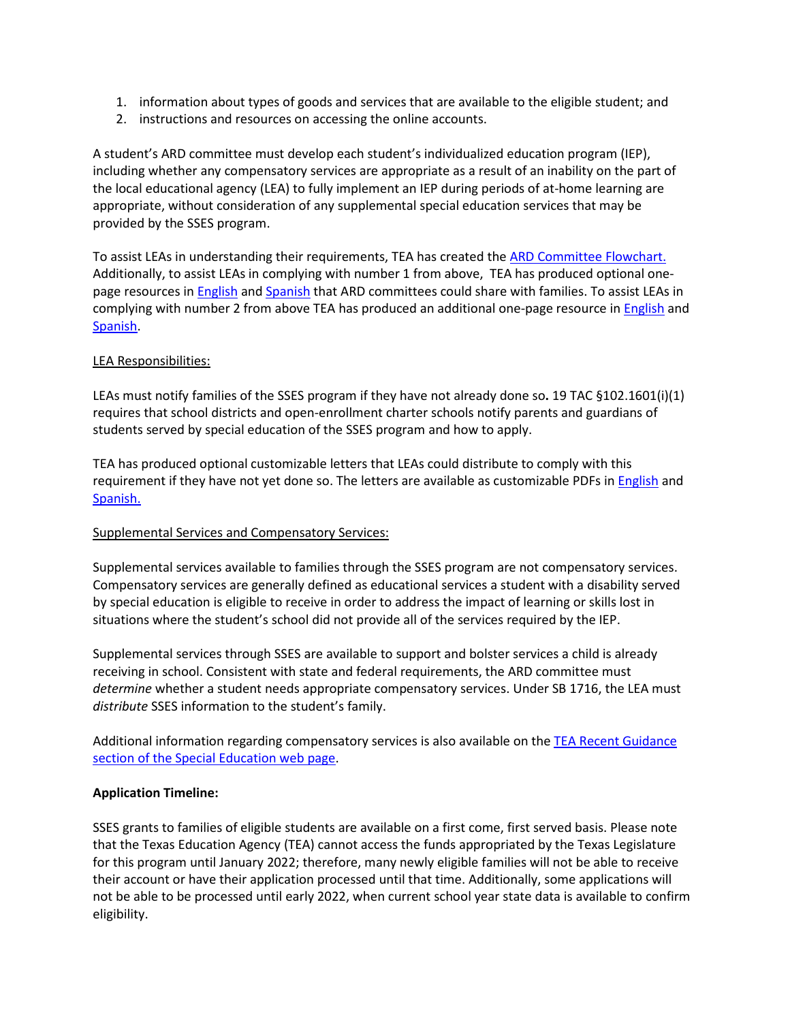- 1. information about types of goods and services that are available to the eligible student; and
- 2. instructions and resources on accessing the online accounts.

A student's ARD committee must develop each student's individualized education program (IEP), including whether any compensatory services are appropriate as a result of an inability on the part of the local educational agency (LEA) to fully implement an IEP during periods of at-home learning are appropriate, without consideration of any supplemental special education services that may be provided by the SSES program.

To assist LEAs in understanding their requirements, TEA has created the [ARD Committee Flowchart.](https://tea.texas.gov/sites/default/files/sses-flowchart-ard-committees.pdf) Additionally, to assist LEAs in complying with number 1 from above, TEA has produced optional onepage resources in **English and [Spanish](https://tea.texas.gov/sites/default/files/sses-overview-spanish.pdf)** that ARD committees could share with families. To assist LEAs in complying with number 2 from above TEA has produced an additional one-page resource i[n English](https://tea.texas.gov/sites/default/files/sses-process-sses-logo.pdf) and [Spanish.](https://tea.texas.gov/sites/default/files/spanish-sses-process-sses-logo-copy.pdf)

# LEA Responsibilities:

LEAs must notify families of the SSES program if they have not already done so**.** 19 TAC §102.1601(i)(1) requires that school districts and open-enrollment charter schools notify parents and guardians of students served by special education of the SSES program and how to apply.

TEA has produced optional customizable letters that LEAs could distribute to comply with this requirement if they have not yet done so. The letters are available as customizable PDFs in [English](https://tea.texas.gov/sites/default/files/lea-sses-sample-letter-english.pdf) and [Spanish.](https://tea.texas.gov/sites/default/files/lea-sses-sample-letter-spanish.pdf)

# Supplemental Services and Compensatory Services:

Supplemental services available to families through the SSES program are not compensatory services. Compensatory services are generally defined as educational services a student with a disability served by special education is eligible to receive in order to address the impact of learning or skills lost in situations where the student's school did not provide all of the services required by the IEP.

Supplemental services through SSES are available to support and bolster services a child is already receiving in school. Consistent with state and federal requirements, the ARD committee must *determine* whether a student needs appropriate compensatory services. Under SB 1716, the LEA must *distribute* SSES information to the student's family.

Additional information regarding compensatory services is also available on th[e TEA Recent Guidance](https://tea.texas.gov/academics/special-student-populations/special-education/recent-tea-guidance)  [section of the Special Education web page.](https://tea.texas.gov/academics/special-student-populations/special-education/recent-tea-guidance)

# **Application Timeline:**

SSES grants to families of eligible students are available on a first come, first served basis. Please note that the Texas Education Agency (TEA) cannot access the funds appropriated by the Texas Legislature for this program until January 2022; therefore, many newly eligible families will not be able to receive their account or have their application processed until that time. Additionally, some applications will not be able to be processed until early 2022, when current school year state data is available to confirm eligibility.